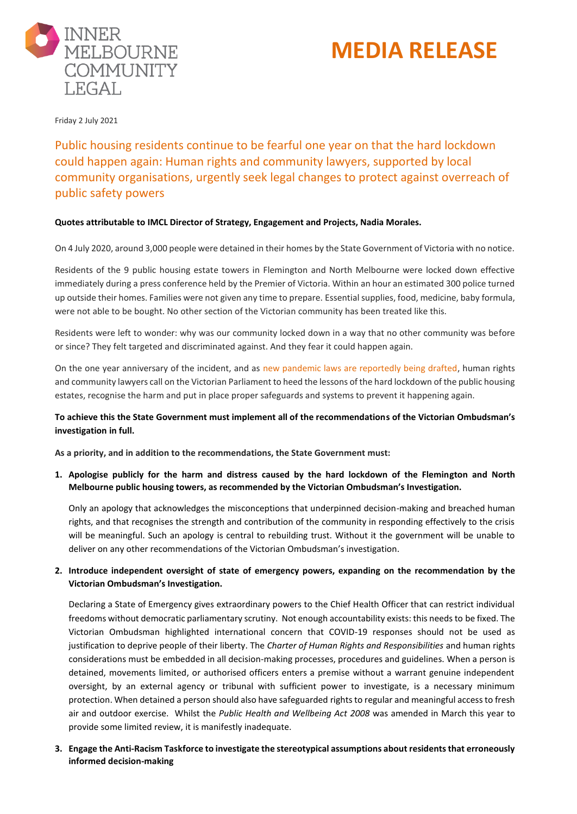



Friday 2 July 2021

Public housing residents continue to be fearful one year on that the hard lockdown could happen again: Human rights and community lawyers, supported by local community organisations, urgently seek legal changes to protect against overreach of public safety powers

## **Quotes attributable to IMCL Director of Strategy, Engagement and Projects, Nadia Morales.**

On 4 July 2020, around 3,000 people were detained in their homes by the State Government of Victoria with no notice.

Residents of the 9 public housing estate towers in Flemington and North Melbourne were locked down effective immediately during a press conference held by the Premier of Victoria. Within an hour an estimated 300 police turned up outside their homes. Families were not given any time to prepare. Essential supplies, food, medicine, baby formula, were not able to be bought. No other section of the Victorian community has been treated like this.

Residents were left to wonder: why was our community locked down in a way that no other community was before or since? They felt targeted and discriminated against. And they fear it could happen again.

On the one year anniversary of the incident, and as [new pandemic laws are reportedly being drafted,](https://www.theage.com.au/politics/victoria/andrews-government-secretly-negotiating-permanent-pandemic-laws-to-replace-state-of-emergency-20210611-p5807t.html) human rights and community lawyers call on the Victorian Parliament to heed the lessons of the hard lockdown of the public housing estates, recognise the harm and put in place proper safeguards and systems to prevent it happening again.

# **To achieve this the State Government must implement all of the recommendations of the Victorian Ombudsman's investigation in full.**

**As a priority, and in addition to the recommendations, the State Government must:**

**1. Apologise publicly for the harm and distress caused by the hard lockdown of the Flemington and North Melbourne public housing towers, as recommended by the Victorian Ombudsman's Investigation.**

Only an apology that acknowledges the misconceptions that underpinned decision-making and breached human rights, and that recognises the strength and contribution of the community in responding effectively to the crisis will be meaningful. Such an apology is central to rebuilding trust. Without it the government will be unable to deliver on any other recommendations of the Victorian Ombudsman's investigation.

# **2. Introduce independent oversight of state of emergency powers, expanding on the recommendation by the Victorian Ombudsman's Investigation.**

Declaring a State of Emergency gives extraordinary powers to the Chief Health Officer that can restrict individual freedoms without democratic parliamentary scrutiny. Not enough accountability exists: this needs to be fixed. The Victorian Ombudsman highlighted international concern that COVID-19 responses should not be used as justification to deprive people of their liberty. The *Charter of Human Rights and Responsibilities* and human rights considerations must be embedded in all decision-making processes, procedures and guidelines. When a person is detained, movements limited, or authorised officers enters a premise without a warrant genuine independent oversight, by an external agency or tribunal with sufficient power to investigate, is a necessary minimum protection. When detained a person should also have safeguarded rights to regular and meaningful access to fresh air and outdoor exercise. Whilst the *Public Health and Wellbeing Act 2008* was amended in March this year to provide some limited review, it is manifestly inadequate.

**3. Engage the Anti-Racism Taskforce to investigate the stereotypical assumptions about residents that erroneously informed decision-making**